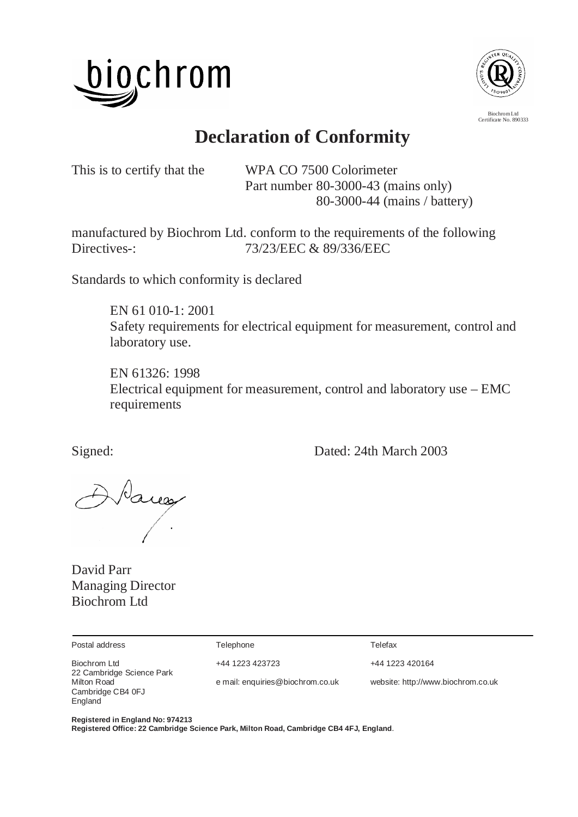



Certificate No. 890333

# **Declaration of Conformity**

This is to certify that the WPA CO 7500 Colorimeter Part number 80-3000-43 (mains only) 80-3000-44 (mains / battery)

manufactured by Biochrom Ltd. conform to the requirements of the following Directives-: 73/23/EEC & 89/336/EEC

Standards to which conformity is declared

 EN 61 010-1: 2001 Safety requirements for electrical equipment for measurement, control and laboratory use.

 EN 61326: 1998 Electrical equipment for measurement, control and laboratory use – EMC requirements

Signed: Dated: 24th March 2003

Naces

David Parr Managing Director Biochrom Ltd

Postal address Telephone Telefax

Biochrom Ltd **+44 1223 423723** +44 1223 420164 22 Cambridge Science Park Cambridge CB4 0FJ England

Milton Road e mail: enquiries@biochrom.co.uk website: http://www.biochrom.co.uk

**Registered in England No: 974213** 

**Registered Office: 22 Cambridge Science Park, Milton Road, Cambridge CB4 4FJ, England**.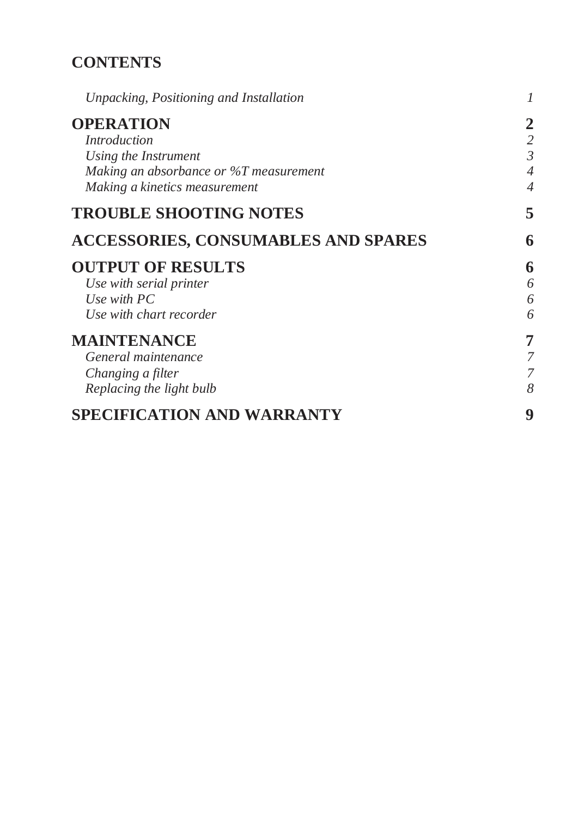## **CONTENTS**

| Unpacking, Positioning and Installation                                                                                                    | $\mathcal I$                                                         |
|--------------------------------------------------------------------------------------------------------------------------------------------|----------------------------------------------------------------------|
| <b>OPERATION</b><br><i>Introduction</i><br>Using the Instrument<br>Making an absorbance or %T measurement<br>Making a kinetics measurement | $\overline{2}$<br>$\mathfrak{Z}$<br>$\overline{4}$<br>$\overline{4}$ |
| <b>TROUBLE SHOOTING NOTES</b>                                                                                                              | 5                                                                    |
| <b>ACCESSORIES, CONSUMABLES AND SPARES</b>                                                                                                 | 6                                                                    |
| <b>OUTPUT OF RESULTS</b><br>Use with serial printer<br>Use with $PC$<br>Use with chart recorder                                            | 6<br>6<br>6<br>6                                                     |
| <b>MAINTENANCE</b><br>General maintenance<br>Changing a filter<br>Replacing the light bulb                                                 | 7<br>7<br>8                                                          |
| SPECIFICATION AND WARRANTY                                                                                                                 | 9                                                                    |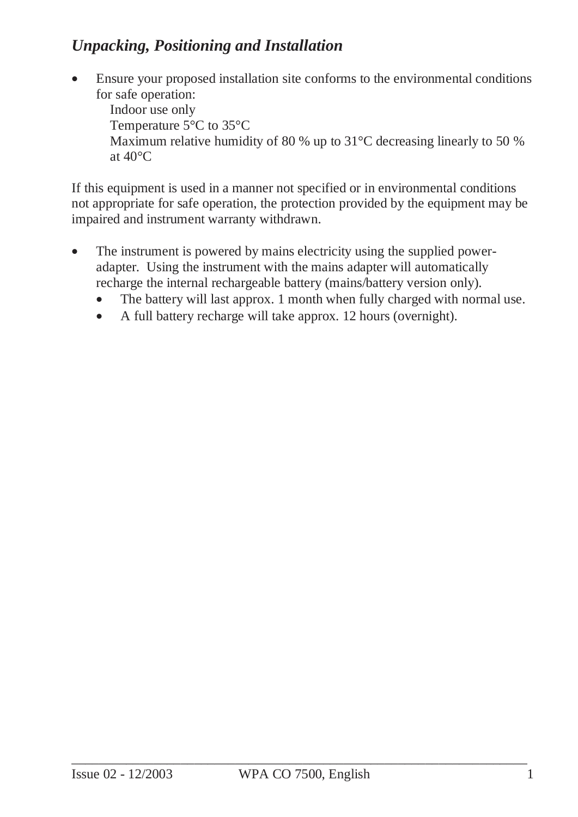### *Unpacking, Positioning and Installation*

• Ensure your proposed installation site conforms to the environmental conditions for safe operation: Indoor use only Temperature 5°C to 35°C Maximum relative humidity of 80 % up to 31 °C decreasing linearly to 50 % at 40°C

If this equipment is used in a manner not specified or in environmental conditions not appropriate for safe operation, the protection provided by the equipment may be impaired and instrument warranty withdrawn.

- The instrument is powered by mains electricity using the supplied poweradapter. Using the instrument with the mains adapter will automatically recharge the internal rechargeable battery (mains/battery version only).
	- The battery will last approx. 1 month when fully charged with normal use.
	- A full battery recharge will take approx. 12 hours (overnight).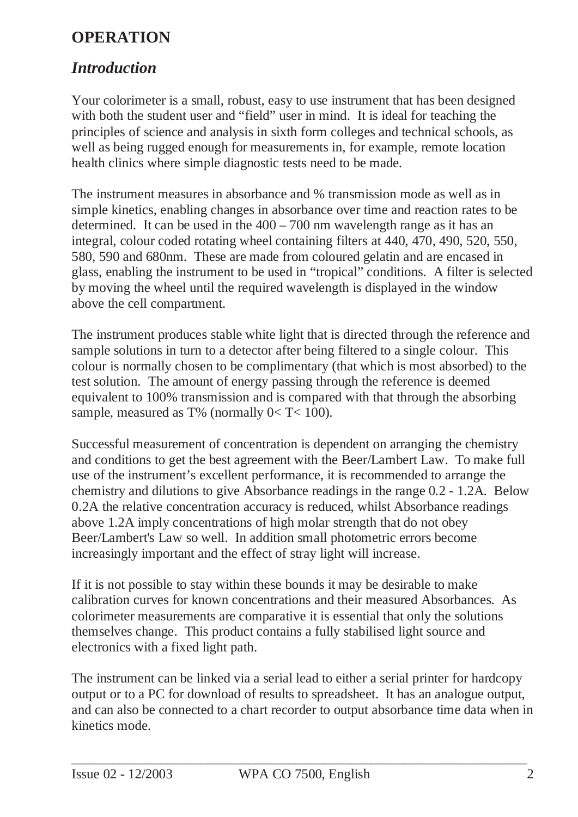## **OPERATION**

#### *Introduction*

Your colorimeter is a small, robust, easy to use instrument that has been designed with both the student user and "field" user in mind. It is ideal for teaching the principles of science and analysis in sixth form colleges and technical schools, as well as being rugged enough for measurements in, for example, remote location health clinics where simple diagnostic tests need to be made.

The instrument measures in absorbance and % transmission mode as well as in simple kinetics, enabling changes in absorbance over time and reaction rates to be determined. It can be used in the 400 – 700 nm wavelength range as it has an integral, colour coded rotating wheel containing filters at 440, 470, 490, 520, 550, 580, 590 and 680nm. These are made from coloured gelatin and are encased in glass, enabling the instrument to be used in "tropical" conditions. A filter is selected by moving the wheel until the required wavelength is displayed in the window above the cell compartment.

The instrument produces stable white light that is directed through the reference and sample solutions in turn to a detector after being filtered to a single colour. This colour is normally chosen to be complimentary (that which is most absorbed) to the test solution. The amount of energy passing through the reference is deemed equivalent to 100% transmission and is compared with that through the absorbing sample, measured as T% (normally  $0 < T < 100$ ).

Successful measurement of concentration is dependent on arranging the chemistry and conditions to get the best agreement with the Beer/Lambert Law. To make full use of the instrument's excellent performance, it is recommended to arrange the chemistry and dilutions to give Absorbance readings in the range 0.2 - 1.2A. Below 0.2A the relative concentration accuracy is reduced, whilst Absorbance readings above 1.2A imply concentrations of high molar strength that do not obey Beer/Lambert's Law so well. In addition small photometric errors become increasingly important and the effect of stray light will increase.

If it is not possible to stay within these bounds it may be desirable to make calibration curves for known concentrations and their measured Absorbances. As colorimeter measurements are comparative it is essential that only the solutions themselves change. This product contains a fully stabilised light source and electronics with a fixed light path.

The instrument can be linked via a serial lead to either a serial printer for hardcopy output or to a PC for download of results to spreadsheet. It has an analogue output, and can also be connected to a chart recorder to output absorbance time data when in kinetics mode.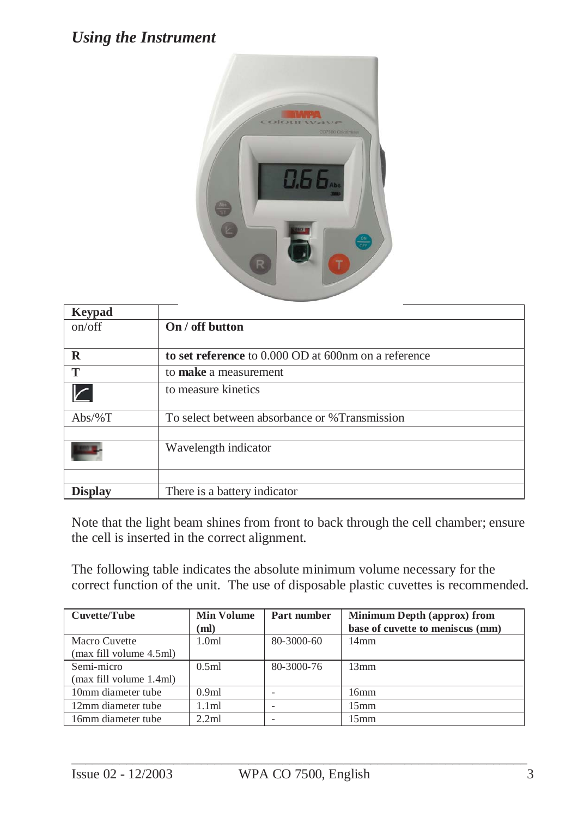#### *Using the Instrument*



| <b>Keypad</b>  |                                                      |
|----------------|------------------------------------------------------|
| on/off         | On / off button                                      |
| $\bf R$        | to set reference to 0.000 OD at 600nm on a reference |
| T              | to make a measurement                                |
|                | to measure kinetics                                  |
| $Abs/\%T$      | To select between absorbance or %Transmission        |
|                | Wavelength indicator                                 |
| <b>Display</b> | There is a battery indicator                         |

Note that the light beam shines from front to back through the cell chamber; ensure the cell is inserted in the correct alignment.

The following table indicates the absolute minimum volume necessary for the correct function of the unit. The use of disposable plastic cuvettes is recommended.

| Cuvette/Tube            | <b>Min Volume</b> | Part number | <b>Minimum Depth (approx) from</b> |
|-------------------------|-------------------|-------------|------------------------------------|
|                         | (ml)              |             | base of cuvette to meniscus (mm)   |
| Macro Cuvette           | 1.0 <sub>m</sub>  | 80-3000-60  | $14 \text{mm}$                     |
| (max fill volume 4.5ml) |                   |             |                                    |
| Semi-micro              | 0.5ml             | 80-3000-76  | 13mm                               |
| (max fill volume 1.4ml) |                   |             |                                    |
| 10mm diameter tube      | 0.9 <sub>ml</sub> |             | 16mm                               |
| 12mm diameter tube      | 1.1ml             |             | 15mm                               |
| 16mm diameter tube      | 2.2ml             |             | $15$ mm                            |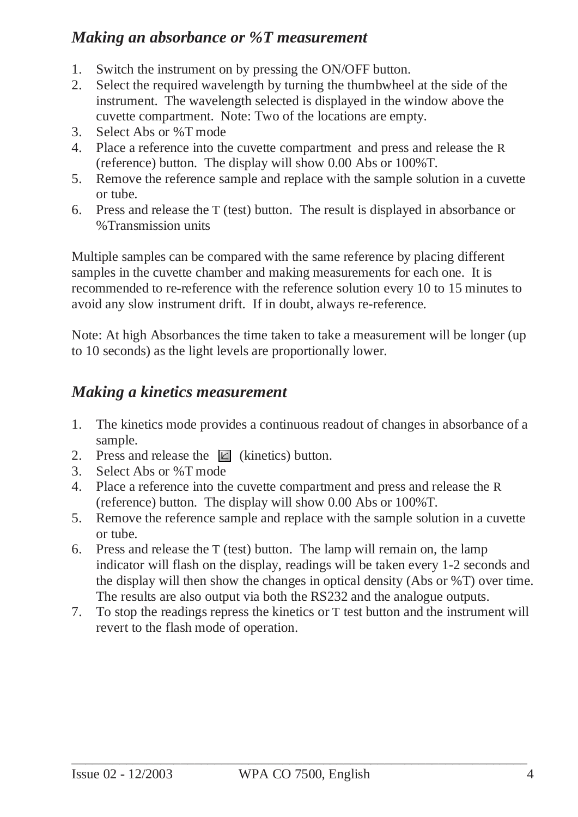#### *Making an absorbance or %T measurement*

- 1. Switch the instrument on by pressing the ON/OFF button.
- 2. Select the required wavelength by turning the thumbwheel at the side of the instrument. The wavelength selected is displayed in the window above the cuvette compartment. Note: Two of the locations are empty.
- 3. Select Abs or %T mode
- 4. Place a reference into the cuvette compartment and press and release the R (reference) button. The display will show 0.00 Abs or 100%T.
- 5. Remove the reference sample and replace with the sample solution in a cuvette or tube.
- 6. Press and release the T (test) button. The result is displayed in absorbance or %Transmission units

Multiple samples can be compared with the same reference by placing different samples in the cuvette chamber and making measurements for each one. It is recommended to re-reference with the reference solution every 10 to 15 minutes to avoid any slow instrument drift. If in doubt, always re-reference.

Note: At high Absorbances the time taken to take a measurement will be longer (up to 10 seconds) as the light levels are proportionally lower.

### *Making a kinetics measurement*

- 1. The kinetics mode provides a continuous readout of changes in absorbance of a sample.
- 2. Press and release the  $\mathbb{E}$  (kinetics) button.
- 3. Select Abs or %T mode
- 4. Place a reference into the cuvette compartment and press and release the R (reference) button. The display will show 0.00 Abs or 100%T.
- 5. Remove the reference sample and replace with the sample solution in a cuvette or tube.
- 6. Press and release the T (test) button. The lamp will remain on, the lamp indicator will flash on the display, readings will be taken every 1-2 seconds and the display will then show the changes in optical density (Abs or %T) over time. The results are also output via both the RS232 and the analogue outputs.
- 7. To stop the readings repress the kinetics or T test button and the instrument will revert to the flash mode of operation.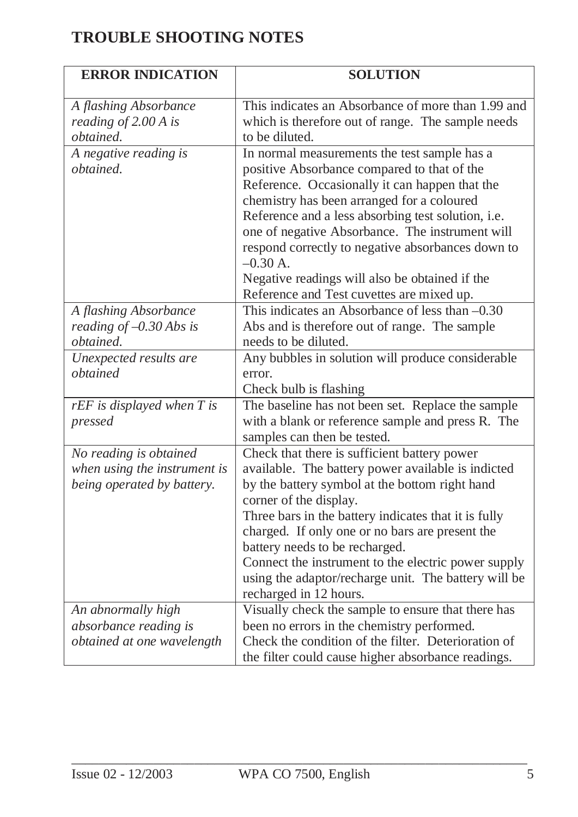## **TROUBLE SHOOTING NOTES**

| <b>ERROR INDICATION</b>                                                              | <b>SOLUTION</b>                                                                                                                                                                                                                                                                                                                                                                                                                                                         |
|--------------------------------------------------------------------------------------|-------------------------------------------------------------------------------------------------------------------------------------------------------------------------------------------------------------------------------------------------------------------------------------------------------------------------------------------------------------------------------------------------------------------------------------------------------------------------|
| A flashing Absorbance<br>reading of 2.00 A is<br>obtained.                           | This indicates an Absorbance of more than 1.99 and<br>which is therefore out of range. The sample needs<br>to be diluted.                                                                                                                                                                                                                                                                                                                                               |
| A negative reading is<br>obtained.                                                   | In normal measurements the test sample has a<br>positive Absorbance compared to that of the<br>Reference. Occasionally it can happen that the<br>chemistry has been arranged for a coloured<br>Reference and a less absorbing test solution, i.e.<br>one of negative Absorbance. The instrument will<br>respond correctly to negative absorbances down to<br>$-0.30 A$ .<br>Negative readings will also be obtained if the<br>Reference and Test cuvettes are mixed up. |
| A flashing Absorbance<br>reading of $-0.30$ Abs is<br>obtained.                      | This indicates an Absorbance of less than -0.30<br>Abs and is therefore out of range. The sample<br>needs to be diluted.                                                                                                                                                                                                                                                                                                                                                |
| Unexpected results are<br>obtained                                                   | Any bubbles in solution will produce considerable<br>error.<br>Check bulb is flashing                                                                                                                                                                                                                                                                                                                                                                                   |
| $rEF$ is displayed when $T$ is<br>pressed                                            | The baseline has not been set. Replace the sample<br>with a blank or reference sample and press R. The<br>samples can then be tested.                                                                                                                                                                                                                                                                                                                                   |
| No reading is obtained<br>when using the instrument is<br>being operated by battery. | Check that there is sufficient battery power<br>available. The battery power available is indicted<br>by the battery symbol at the bottom right hand<br>corner of the display.<br>Three bars in the battery indicates that it is fully<br>charged. If only one or no bars are present the<br>battery needs to be recharged.<br>Connect the instrument to the electric power supply<br>using the adaptor/recharge unit. The battery will be<br>recharged in 12 hours.    |
| An abnormally high<br>absorbance reading is<br>obtained at one wavelength            | Visually check the sample to ensure that there has<br>been no errors in the chemistry performed.<br>Check the condition of the filter. Deterioration of<br>the filter could cause higher absorbance readings.                                                                                                                                                                                                                                                           |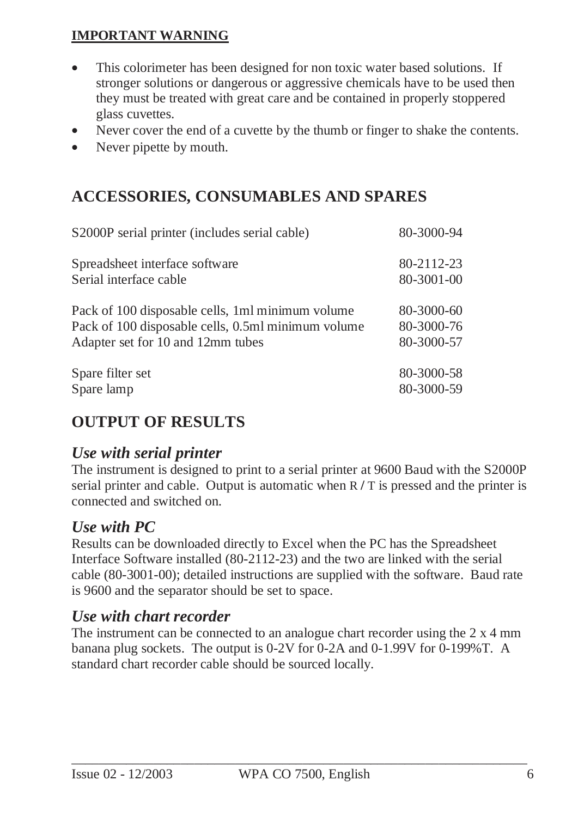#### **IMPORTANT WARNING**

- This colorimeter has been designed for non toxic water based solutions. If stronger solutions or dangerous or aggressive chemicals have to be used then they must be treated with great care and be contained in properly stoppered glass cuvettes.
- Never cover the end of a cuvette by the thumb or finger to shake the contents.
- Never pipette by mouth.

### **ACCESSORIES, CONSUMABLES AND SPARES**

| S2000P serial printer (includes serial cable)      | 80-3000-94 |
|----------------------------------------------------|------------|
| Spreadsheet interface software                     | 80-2112-23 |
| Serial interface cable                             | 80-3001-00 |
| Pack of 100 disposable cells, 1ml minimum volume   | 80-3000-60 |
| Pack of 100 disposable cells, 0.5ml minimum volume | 80-3000-76 |
| Adapter set for 10 and 12mm tubes                  | 80-3000-57 |
| Spare filter set                                   | 80-3000-58 |
| Spare lamp                                         | 80-3000-59 |

### **OUTPUT OF RESULTS**

#### *Use with serial printer*

The instrument is designed to print to a serial printer at 9600 Baud with the S2000P serial printer and cable. Output is automatic when R **/** T is pressed and the printer is connected and switched on.

#### *Use with PC*

Results can be downloaded directly to Excel when the PC has the Spreadsheet Interface Software installed (80-2112-23) and the two are linked with the serial cable (80-3001-00); detailed instructions are supplied with the software. Baud rate is 9600 and the separator should be set to space.

#### *Use with chart recorder*

The instrument can be connected to an analogue chart recorder using the 2 x 4 mm banana plug sockets. The output is 0-2V for 0-2A and 0-1.99V for 0-199%T. A standard chart recorder cable should be sourced locally.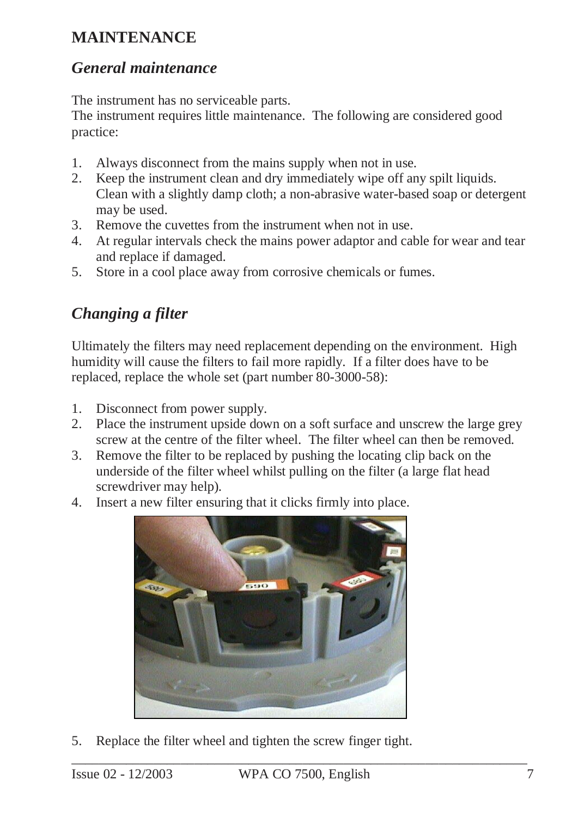## **MAINTENANCE**

#### *General maintenance*

The instrument has no serviceable parts.

The instrument requires little maintenance. The following are considered good practice:

- 1. Always disconnect from the mains supply when not in use.
- 2. Keep the instrument clean and dry immediately wipe off any spilt liquids. Clean with a slightly damp cloth; a non-abrasive water-based soap or detergent may be used.
- 3. Remove the cuvettes from the instrument when not in use.
- 4. At regular intervals check the mains power adaptor and cable for wear and tear and replace if damaged.
- 5. Store in a cool place away from corrosive chemicals or fumes.

# *Changing a filter*

Ultimately the filters may need replacement depending on the environment. High humidity will cause the filters to fail more rapidly. If a filter does have to be replaced, replace the whole set (part number 80-3000-58):

- 1. Disconnect from power supply.
- 2. Place the instrument upside down on a soft surface and unscrew the large grey screw at the centre of the filter wheel. The filter wheel can then be removed.
- 3. Remove the filter to be replaced by pushing the locating clip back on the underside of the filter wheel whilst pulling on the filter (a large flat head screwdriver may help).
- 4. Insert a new filter ensuring that it clicks firmly into place.



5. Replace the filter wheel and tighten the screw finger tight.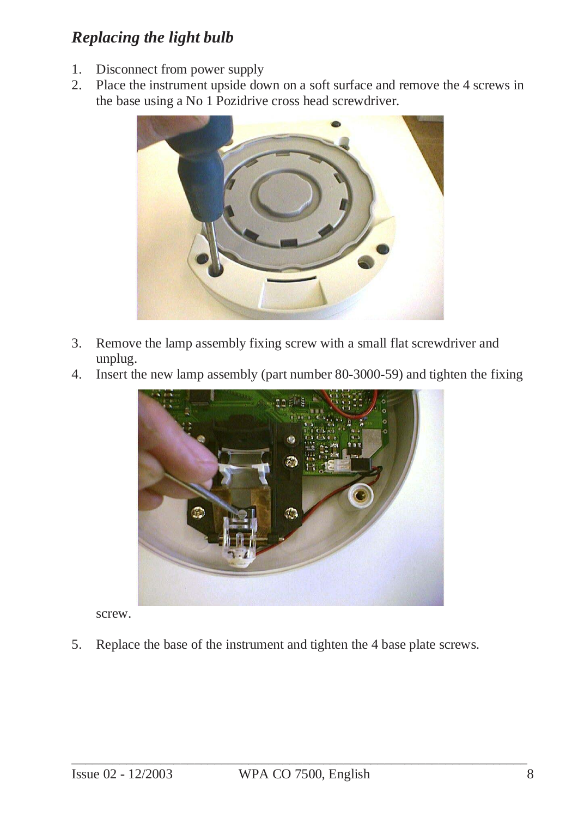## *Replacing the light bulb*

- 1. Disconnect from power supply
- 2. Place the instrument upside down on a soft surface and remove the 4 screws in the base using a No 1 Pozidrive cross head screwdriver.



- 3. Remove the lamp assembly fixing screw with a small flat screwdriver and unplug.
- 4. Insert the new lamp assembly (part number 80-3000-59) and tighten the fixing



screw.

5. Replace the base of the instrument and tighten the 4 base plate screws.